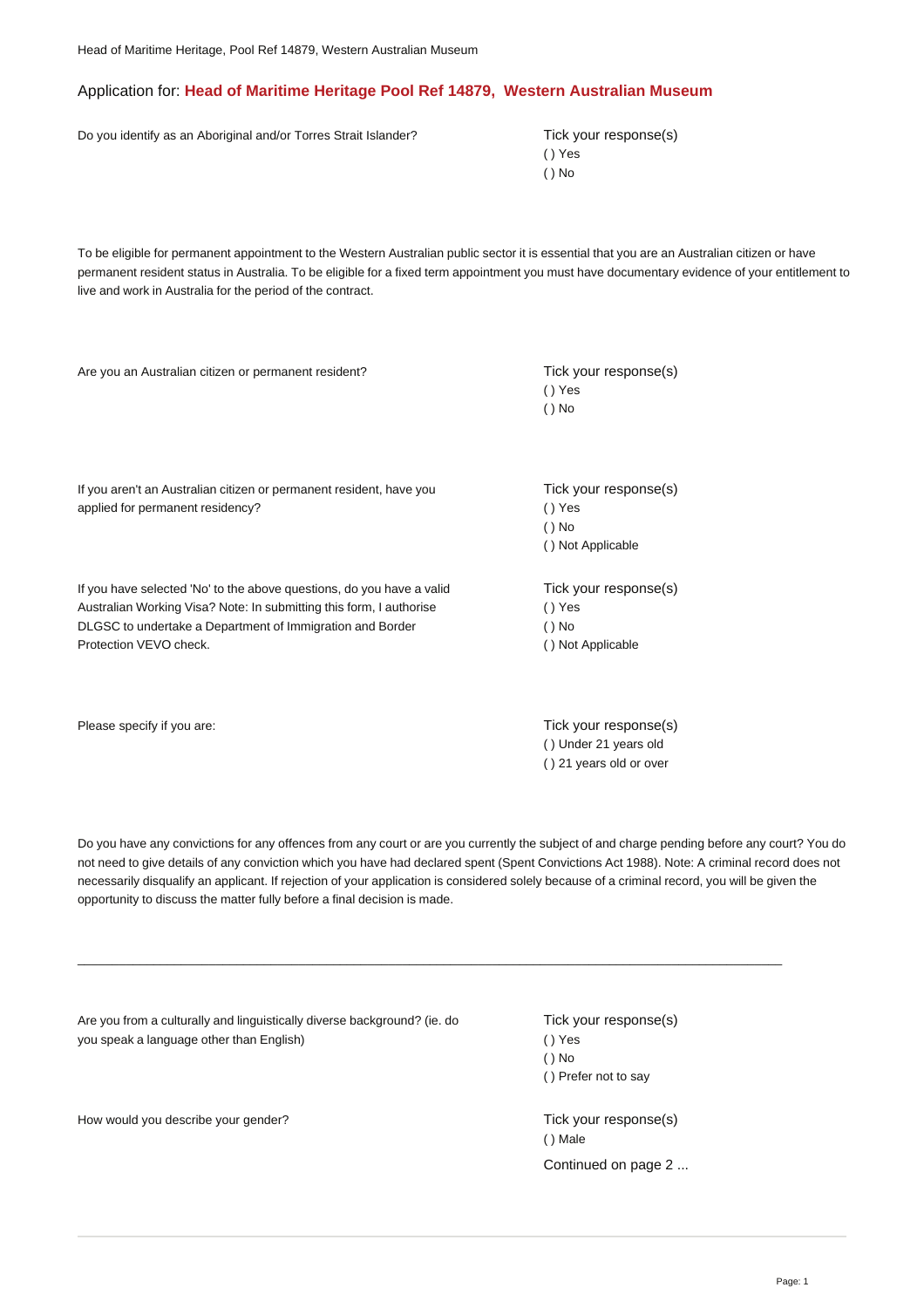## Application for: **Head of Maritime Heritage Pool Ref 14879, Western Australian Museum**

Do you identify as an Aboriginal and/or Torres Strait Islander? Tick your response(s)

( ) Yes ( ) No

To be eligible for permanent appointment to the Western Australian public sector it is essential that you are an Australian citizen or have permanent resident status in Australia. To be eligible for a fixed term appointment you must have documentary evidence of your entitlement to live and work in Australia for the period of the contract.

Are you an Australian citizen or permanent resident? Tick your response(s) ( ) Yes ( ) No Tick your response(s) ( ) Yes ( ) No ( ) Not Applicable If you aren't an Australian citizen or permanent resident, have you applied for permanent residency? Tick your response(s) ( ) Yes ( ) No ( ) Not Applicable If you have selected 'No' to the above questions, do you have a valid Australian Working Visa? Note: In submitting this form, I authorise DLGSC to undertake a Department of Immigration and Border Protection VEVO check. Please specify if you are: Tick your response(s) and the specify if you are: Tick your response(s)

Do you have any convictions for any offences from any court or are you currently the subject of and charge pending before any court? You do not need to give details of any conviction which you have had declared spent (Spent Convictions Act 1988). Note: A criminal record does not necessarily disqualify an applicant. If rejection of your application is considered solely because of a criminal record, you will be given the opportunity to discuss the matter fully before a final decision is made.

\_\_\_\_\_\_\_\_\_\_\_\_\_\_\_\_\_\_\_\_\_\_\_\_\_\_\_\_\_\_\_\_\_\_\_\_\_\_\_\_\_\_\_\_\_\_\_\_\_\_\_\_\_\_\_\_\_\_\_\_\_\_\_\_\_\_\_\_\_\_\_\_\_\_\_\_\_\_\_\_\_\_\_\_\_\_\_\_\_\_\_\_\_\_\_\_\_\_\_\_\_\_

Are you from a culturally and linguistically diverse background? (ie. do you speak a language other than English)

How would you describe your gender? Tick your response(s)

Tick your response(s) ( ) Yes ( ) No ( ) Prefer not to say

( ) Under 21 years old ( ) 21 years old or over

( ) Male Continued on page 2 ...